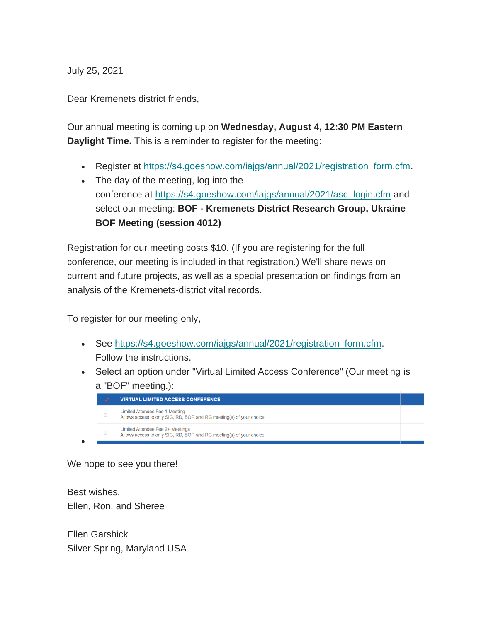July 25, 2021

Dear Kremenets district friends,

Our annual meeting is coming up on **Wednesday, August 4, 12:30 PM Eastern Daylight Time.** This is a reminder to register for the meeting:

- Register at [https://s4.goeshow.com/iajgs/annual/2021/registration\\_form.cfm.](https://s4.goeshow.com/iajgs/annual/2021/registration_form.cfm)
- The day of the meeting, log into the conference at [https://s4.goeshow.com/iajgs/annual/2021/asc\\_login.cfm](https://s4.goeshow.com/iajgs/annual/2021/asc_login.cfm) and select our meeting: **BOF - Kremenets District Research Group, Ukraine BOF Meeting (session 4012)**

Registration for our meeting costs \$10. (If you are registering for the full conference, our meeting is included in that registration.) We'll share news on current and future projects, as well as a special presentation on findings from an analysis of the Kremenets-district vital records.

To register for our meeting only,

- See [https://s4.goeshow.com/iajgs/annual/2021/registration\\_form.cfm.](https://s4.goeshow.com/iajgs/annual/2021/registration_form.cfm) Follow the instructions.
- Select an option under "Virtual Limited Access Conference" (Our meeting is a "BOF" meeting.):



We hope to see you there!

•

Best wishes, Ellen, Ron, and Sheree

Ellen Garshick Silver Spring, Maryland USA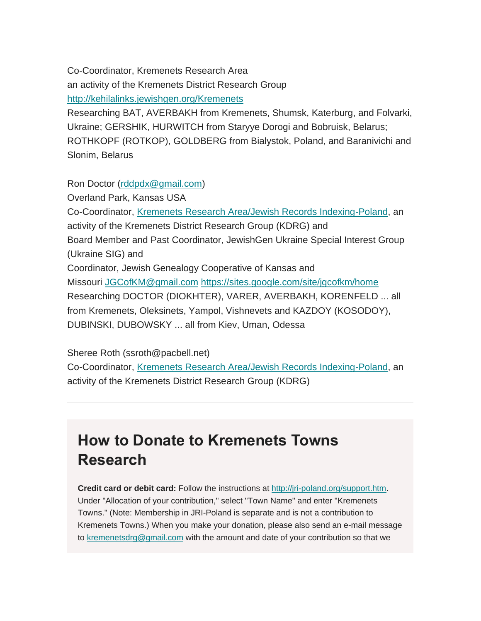Co-Coordinator, Kremenets Research Area an activity of the Kremenets District Research Group <http://kehilalinks.jewishgen.org/Kremenets>

Researching BAT, AVERBAKH from Kremenets, Shumsk, Katerburg, and Folvarki, Ukraine; GERSHIK, HURWITCH from Staryye Dorogi and Bobruisk, Belarus; ROTHKOPF (ROTKOP), GOLDBERG from Bialystok, Poland, and Baranivichi and Slonim, Belarus

Ron Doctor [\(rddpdx@gmail.com\)](mailto:rddpdx@gmail.com)

Overland Park, Kansas USA

Co-Coordinator, [Kremenets Research Area/Jewish Records Indexing-Poland,](http://kehilalinks.jewishgen.org/Kremenets) an activity of the Kremenets District Research Group (KDRG) and Board Member and Past Coordinator, JewishGen Ukraine Special Interest Group (Ukraine SIG) and Coordinator, Jewish Genealogy Cooperative of Kansas and Missouri [JGCofKM@gmail.com](mailto:JGCofKM@gmail.com) <https://sites.google.com/site/jgcofkm/home> Researching DOCTOR (DIOKHTER), VARER, AVERBAKH, KORENFELD ... all from Kremenets, Oleksinets, Yampol, Vishnevets and KAZDOY (KOSODOY), DUBINSKI, DUBOWSKY ... all from Kiev, Uman, Odessa

Sheree Roth (ssroth@pacbell.net)

Co-Coordinator, [Kremenets Research Area/Jewish Records Indexing-Poland,](http://kehilalinks.jewishgen.org/Kremenets) an activity of the Kremenets District Research Group (KDRG)

## **How to Donate to Kremenets Towns Research**

**Credit card or debit card:** Follow the instructions at [http://jri-poland.org/support.htm.](http://jri-poland.org/support.htm) Under "Allocation of your contribution," select "Town Name" and enter "Kremenets Towns." (Note: Membership in JRI-Poland is separate and is not a contribution to Kremenets Towns.) When you make your donation, please also send an e-mail message to [kremenetsdrg@gmail.com](mailto:kremenetsdrg@gmail.com) with the amount and date of your contribution so that we